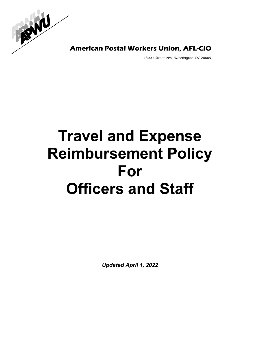

**American Postal Workers Union, AFL-CIO** 

1300 L Street, NW, Washington, DC 20005

# **Travel and Expense Reimbursement Policy For Officers and Staff**

*Updated April 1, 2022*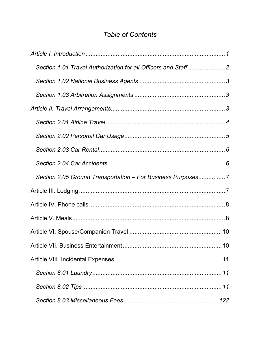# *Table of Contents*

| Section 2.05 Ground Transportation - For Business Purposes7 |
|-------------------------------------------------------------|
|                                                             |
|                                                             |
|                                                             |
|                                                             |
|                                                             |
|                                                             |
|                                                             |
|                                                             |
|                                                             |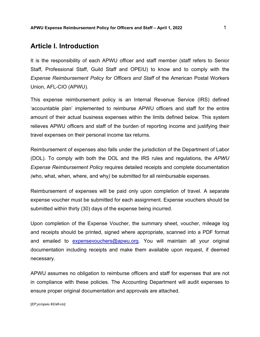## <span id="page-2-0"></span>**Article I. Introduction**

It is the responsibility of each APWU officer and staff member (staff refers to Senior Staff, Professional Staff, Guild Staff and OPEIU) to know and to comply with the *Expense Reimbursement Policy for Officers and Staff* of the American Postal Workers Union, AFL-CIO (APWU).

This expense reimbursement policy is an Internal Revenue Service (IRS) defined 'accountable plan' implemented to reimburse APWU officers and staff for the entire amount of their actual business expenses within the limits defined below. This system relieves APWU officers and staff of the burden of reporting income and justifying their travel expenses on their personal income tax returns.

Reimbursement of expenses also falls under the jurisdiction of the Department of Labor (DOL). To comply with both the DOL and the IRS rules and regulations, the *APWU Expense Reimbursement Policy* requires detailed receipts and complete documentation *(*who, what, when, where, and why*)* be submitted for all reimbursable expenses.

Reimbursement of expenses will be paid only upon completion of travel. A separate expense voucher must be submitted for each assignment. Expense vouchers should be submitted within thirty (30) days of the expense being incurred.

Upon completion of the Expense Voucher, the summary sheet, voucher, mileage log and receipts should be printed, signed where appropriate, scanned into a PDF format and emailed to [expensevouchers@apwu.org.](mailto:expensevouchers@apwu.org) You will maintain all your original documentation including receipts and make them available upon request, if deemed necessary.

APWU assumes no obligation to reimburse officers and staff for expenses that are not in compliance with these policies. The Accounting Department will audit expenses to ensure proper original documentation and approvals are attached.

[*EP:yc/opeiu #2/afl-cio*]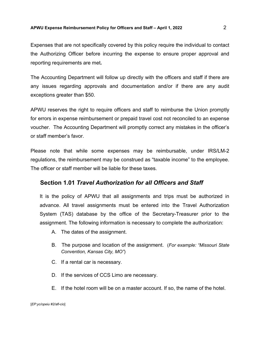#### **APWU Expense Reimbursement Policy for Officers and Staff – April 1, 2022** 2

Expenses that are not specifically covered by this policy require the individual to contact the Authorizing Officer before incurring the expense to ensure proper approval and reporting requirements are met*.*

The Accounting Department will follow up directly with the officers and staff if there are any issues regarding approvals and documentation and/or if there are any audit exceptions greater than \$50.

APWU reserves the right to require officers and staff to reimburse the Union promptly for errors in expense reimbursement or prepaid travel cost not reconciled to an expense voucher. The Accounting Department will promptly correct any mistakes in the officer's or staff member's favor.

Please note that while some expenses may be reimbursable, under IRS/LM-2 regulations, the reimbursement may be construed as "taxable income" to the employee. The officer or staff member will be liable for these taxes.

#### <span id="page-3-0"></span>**Section 1.01** *Travel Authorization for all Officers and Staff*

It is the policy of APWU that all assignments and trips must be authorized in advance. All travel assignments must be entered into the Travel Authorization System (TAS) database by the office of the Secretary-Treasurer prior to the assignment. The following information is necessary to complete the authorization:

- A. The dates of the assignment.
- B. The purpose and location of the assignment. (*For example: "Missouri State Convention, Kansas City, MO"*)
- C. If a rental car is necessary.
- D. If the services of CCS Limo are necessary.
- E. If the hotel room will be on a master account. If so, the name of the hotel.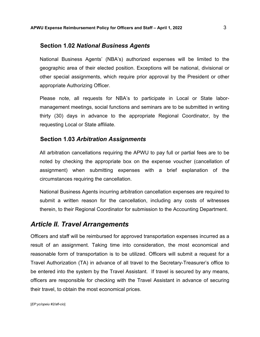#### <span id="page-4-0"></span>**Section 1.02** *National Business Agents*

National Business Agents' (NBA's) authorized expenses will be limited to the geographic area of their elected position. Exceptions will be national, divisional or other special assignments, which require prior approval by the President or other appropriate Authorizing Officer.

Please note, all requests for NBA's to participate in Local or State labormanagement meetings, social functions and seminars are to be submitted in writing thirty (30) days in advance to the appropriate Regional Coordinator, by the requesting Local or State affiliate.

#### <span id="page-4-1"></span>**Section 1.03** *Arbitration Assignments*

All arbitration cancellations requiring the APWU to pay full or partial fees are to be noted by checking the appropriate box on the expense voucher (cancellation of assignment) when submitting expenses with a brief explanation of the circumstances requiring the cancellation.

National Business Agents incurring arbitration cancellation expenses are required to submit a written reason for the cancellation, including any costs of witnesses therein, to their Regional Coordinator for submission to the Accounting Department.

## <span id="page-4-2"></span>*Article II. Travel Arrangements*

Officers and staff will be reimbursed for approved transportation expenses incurred as a result of an assignment. Taking time into consideration, the most economical and reasonable form of transportation is to be utilized. Officers will submit a request for a Travel Authorization (TA) in advance of all travel to the Secretary-Treasurer's office to be entered into the system by the Travel Assistant. If travel is secured by any means, officers are responsible for checking with the Travel Assistant in advance of securing their travel, to obtain the most economical prices.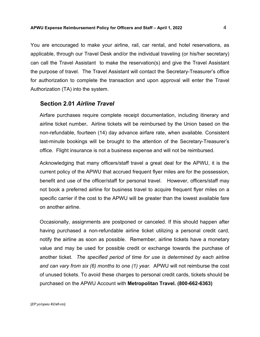You are encouraged to make your airline, rail, car rental, and hotel reservations, as applicable, through our Travel Desk and/or the individual traveling (or his/her secretary) can call the Travel Assistant to make the reservation(s) and give the Travel Assistant the purpose of travel. The Travel Assistant will contact the Secretary-Treasurer's office for authorization to complete the transaction and upon approval will enter the Travel Authorization (TA) into the system.

#### <span id="page-5-0"></span>**Section 2.01** *Airline Travel*

Airfare purchases require complete receipt documentation, including itinerary and airline ticket number**.** Airline tickets will be reimbursed by the Union based on the non-refundable, fourteen (14) day advance airfare rate, when available. Consistent last-minute bookings will be brought to the attention of the Secretary-Treasurer's office. Flight insurance is not a business expense and will not be reimbursed.

Acknowledging that many officers/staff travel a great deal for the APWU, it is the current policy of the APWU that accrued frequent flyer miles are for the possession, benefit and use of the officer/staff for personal travel. However, officers/staff may not book a preferred airline for business travel to acquire frequent flyer miles on a specific carrier if the cost to the APWU will be greater than the lowest available fare on another airline.

Occasionally, assignments are postponed or canceled. If this should happen after having purchased a non-refundable airline ticket utilizing a personal credit card, notify the airline as soon as possible. Remember, airline tickets have a monetary value and may be used for possible credit or exchange towards the purchase of another ticket. *The specified period of time for use is determined by each airline and can vary from six (6) months to one (1) year.* APWU will not reimburse the cost of unused tickets. To avoid these charges to personal credit cards, tickets should be purchased on the APWU Account with **Metropolitan Travel. (800-662-6363)**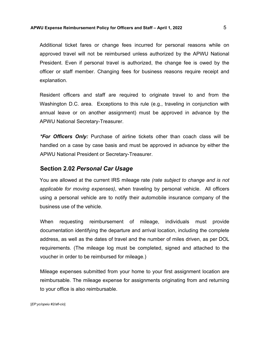#### **APWU Expense Reimbursement Policy for Officers and Staff – April 1, 2022** 5

Additional ticket fares or change fees incurred for personal reasons while on approved travel will not be reimbursed unless authorized by the APWU National President. Even if personal travel is authorized, the change fee is owed by the officer or staff member. Changing fees for business reasons require receipt and explanation.

Resident officers and staff are required to originate travel to and from the Washington D.C. area. Exceptions to this rule (e.g., traveling in conjunction with annual leave or on another assignment) must be approved in advance by the APWU National Secretary-Treasurer.

*\*For Officers Only:* Purchase of airline tickets other than coach class will be handled on a case by case basis and must be approved in advance by either the APWU National President or Secretary-Treasurer.

#### <span id="page-6-0"></span>**Section 2.02** *Personal Car Usage*

You are allowed at the current IRS mileage rate *(rate subject to change and is not applicable for moving expenses)*, when traveling by personal vehicle. All officers using a personal vehicle are to notify their automobile insurance company of the business use of the vehicle.

When requesting reimbursement of mileage, individuals must provide documentation identifying the departure and arrival location, including the complete address, as well as the dates of travel and the number of miles driven, as per DOL requirements. (The mileage log must be completed, signed and attached to the voucher in order to be reimbursed for mileage.)

Mileage expenses submitted from your home to your first assignment location are reimbursable. The mileage expense for assignments originating from and returning to your office is also reimbursable.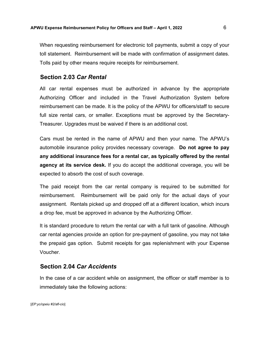When requesting reimbursement for electronic toll payments, submit a copy of your toll statement. Reimbursement will be made with confirmation of assignment dates. Tolls paid by other means require receipts for reimbursement.

#### <span id="page-7-0"></span>**Section 2.03** *Car Rental*

All car rental expenses must be authorized in advance by the appropriate Authorizing Officer and included in the Travel Authorization System before reimbursement can be made. It is the policy of the APWU for officers/staff to secure full size rental cars, or smaller. Exceptions must be approved by the Secretary-Treasurer. Upgrades must be waived if there is an additional cost.

Cars must be rented in the name of APWU and then your name. The APWU's automobile insurance policy provides necessary coverage. **Do not agree to pay any additional insurance fees for a rental car, as typically offered by the rental agency at its service desk.** If you do accept the additional coverage, you will be expected to absorb the cost of such coverage.

The paid receipt from the car rental company is required to be submitted for reimbursement. Reimbursement will be paid only for the actual days of your assignment. Rentals picked up and dropped off at a different location, which incurs a drop fee, must be approved in advance by the Authorizing Officer.

It is standard procedure to return the rental car with a full tank of gasoline. Although car rental agencies provide an option for pre-payment of gasoline, you may not take the prepaid gas option. Submit receipts for gas replenishment with your Expense Voucher.

#### <span id="page-7-1"></span>**Section 2.04** *Car Accidents*

In the case of a car accident while on assignment, the officer or staff member is to immediately take the following actions: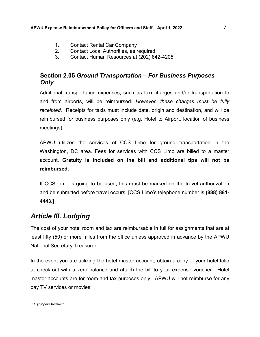- 1. Contact Rental Car Company
- 2. Contact Local Authorities, as required
- 3. Contact Human Resources at (202) 842-4205

## <span id="page-8-0"></span>**Section 2.05** *Ground Transportation – For Business Purposes Only*

Additional transportation expenses, such as taxi charges and/or transportation to and from airports, will be reimbursed*. However, these charges must be fully receipted.* Receipts for taxis must include date, origin and destination, and will be reimbursed for business purposes only (e.g. Hotel to Airport, location of business meetings).

APWU utilizes the services of CCS Limo for ground transportation in the Washington, DC area. Fees for services with CCS Limo are billed to a master account. **Gratuity is included on the bill and additional tips will not be reimbursed.**

If CCS Limo is going to be used, this must be marked on the travel authorization and be submitted before travel occurs. [CCS Limo's telephone number is **(888) 881- 4443.]**

# <span id="page-8-1"></span>*Article III. Lodging*

The cost of your hotel room and tax are reimbursable in full for assignments that are at least fifty (50) or more miles from the office unless approved in advance by the APWU National Secretary-Treasurer.

In the event you are utilizing the hotel master account, obtain a copy of your hotel folio at check-out with a zero balance and attach the bill to your expense voucher. Hotel master accounts are for room and tax purposes only. APWU will not reimburse for any pay TV services or movies.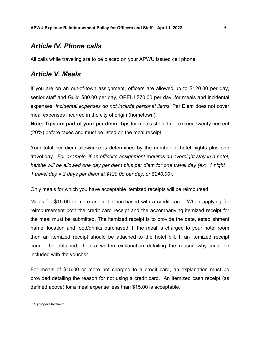## <span id="page-9-0"></span>*Article IV. Phone calls*

All calls while traveling are to be placed on your APWU issued cell phone.

## <span id="page-9-1"></span>*Article V. Meals*

If you are on an out-of-town assignment, officers are allowed up to \$120.00 per day, senior staff and Guild \$80.00 per day, OPEIU \$70.00 per day, for meals and incidental expenses. *Incidental expenses do not include personal items.* Per Diem does not cover meal expenses incurred in the city of origin (hometown).

**Note: Tips are part of your per diem**. Tips for meals should not exceed twenty percent (20%) before taxes and must be listed on the meal receipt.

Your total per diem allowance is determined by the number of hotel nights plus one travel day. *For example, if an officer's assignment requires an overnight stay in a hotel, he/she will be allowed one day per diem plus per diem for one travel day (ex: 1 night + 1 travel day = 2 days per diem at \$120.00 per day, or \$240.00).*

Only meals for which you have acceptable itemized receipts will be reimbursed.

Meals for \$15.00 or more are to be purchased with a credit card. When applying for reimbursement both the credit card receipt and the accompanying itemized receipt for the meal must be submitted. The itemized receipt is to provide the date, establishment name, location and food/drinks purchased. If the meal is charged to your hotel room then an itemized receipt should be attached to the hotel bill. If an itemized receipt cannot be obtained, then a written explanation detailing the reason why must be included with the voucher.

For meals of \$15.00 or more not charged to a credit card, an explanation must be provided detailing the reason for not using a credit card. An itemized cash receipt (as defined above) for a meal expense less than \$15.00 is acceptable.

[*EP:yc/opeiu #2/afl-cio*]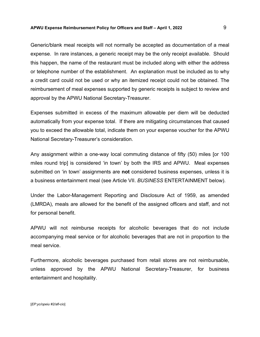#### **APWU Expense Reimbursement Policy for Officers and Staff – April 1, 2022** 9

Generic/blank meal receipts will not normally be accepted as documentation of a meal expense. In rare instances, a generic receipt may be the only receipt available. Should this happen, the name of the restaurant must be included along with either the address or telephone number of the establishment. An explanation must be included as to why a credit card could not be used or why an itemized receipt could not be obtained. The reimbursement of meal expenses supported by generic receipts is subject to review and approval by the APWU National Secretary-Treasurer.

Expenses submitted in excess of the maximum allowable per diem will be deducted automatically from your expense total. If there are mitigating circumstances that caused you to exceed the allowable total, indicate them on your expense voucher for the APWU National Secretary-Treasurer's consideration.

Any assignment within a one-way local commuting distance of fifty (50) miles [or 100 miles round trip] is considered 'in town' by both the IRS and APWU. Meal expenses submitted on 'in town' assignments are **not** considered business expenses, unless it is a business entertainment meal (see Article VII. *BUSINESS* ENTERTAINMENT below).

Under the Labor-Management Reporting and Disclosure Act of 1959, as amended (LMRDA), meals are allowed for the benefit of the assigned officers and staff, and not for personal benefit.

APWU will not reimburse receipts for alcoholic beverages that do not include accompanying meal service or for alcoholic beverages that are not in proportion to the meal service.

Furthermore, alcoholic beverages purchased from retail stores are not reimbursable, unless approved by the APWU National Secretary-Treasurer, for business entertainment and hospitality.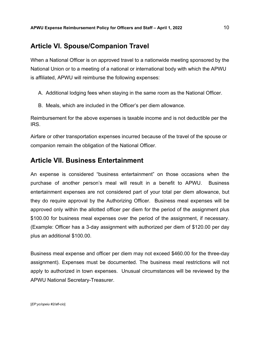# <span id="page-11-0"></span>**Article VI. Spouse/Companion Travel**

When a National Officer is on approved travel to a nationwide meeting sponsored by the National Union or to a meeting of a national or international body with which the APWU is affiliated, APWU will reimburse the following expenses:

- A. Additional lodging fees when staying in the same room as the National Officer.
- B. Meals, which are included in the Officer's per diem allowance.

Reimbursement for the above expenses is taxable income and is not deductible per the IRS.

Airfare or other transportation expenses incurred because of the travel of the spouse or companion remain the obligation of the National Officer.

## <span id="page-11-1"></span>**Article VII. Business Entertainment**

An expense is considered "business entertainment" on those occasions when the purchase of another person's meal will result in a benefit to APWU. Business entertainment expenses are not considered part of your total per diem allowance, but they do require approval by the Authorizing Officer. Business meal expenses will be approved only within the allotted officer per diem for the period of the assignment plus \$100.00 for business meal expenses over the period of the assignment, if necessary. (Example: Officer has a 3-day assignment with authorized per diem of \$120.00 per day plus an additional \$100.00.

Business meal expense and officer per diem may not exceed \$460.00 for the three-day assignment). Expenses must be documented. The business meal restrictions will not apply to authorized in town expenses. Unusual circumstances will be reviewed by the APWU National Secretary-Treasurer.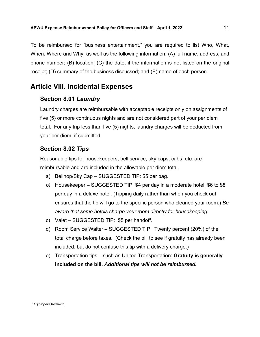To be reimbursed for "business entertainment," you are required to list Who, What, When, Where and Why, as well as the following information: (A) full name, address, and phone number; (B) location; (C) the date, if the information is not listed on the original receipt; (D) summary of the business discussed; and (E) name of each person.

# <span id="page-12-0"></span>**Article VIII. Incidental Expenses**

### <span id="page-12-1"></span>**Section 8.01** *Laundry*

Laundry charges are reimbursable with acceptable receipts only on assignments of five (5) or more continuous nights and are not considered part of your per diem total. For any trip less than five (5) nights, laundry charges will be deducted from your per diem, if submitted.

## <span id="page-12-2"></span>**Section 8.02** *Tips*

Reasonable tips for housekeepers, bell service, sky caps, cabs, etc. are reimbursable and are included in the allowable per diem total.

- a) Bellhop/Sky Cap SUGGESTED TIP: \$5 per bag.
- *b)* Housekeeper SUGGESTED TIP: \$4 per day in a moderate hotel, \$6 to \$8 per day in a deluxe hotel. (Tipping daily rather than when you check out ensures that the tip will go to the specific person who cleaned your room.) *Be aware that some hotels charge your room directly for housekeeping.*
- c) Valet SUGGESTED TIP: \$5 per handoff.
- d) Room Service Waiter SUGGESTED TIP: Twenty percent (20%) of the total charge before taxes. (Check the bill to see if gratuity has already been included, but do not confuse this tip with a delivery charge.)
- e) Transportation tips such as United Transportation: **Gratuity is generally included on the bill.** *Additional tips will not be reimbursed.*